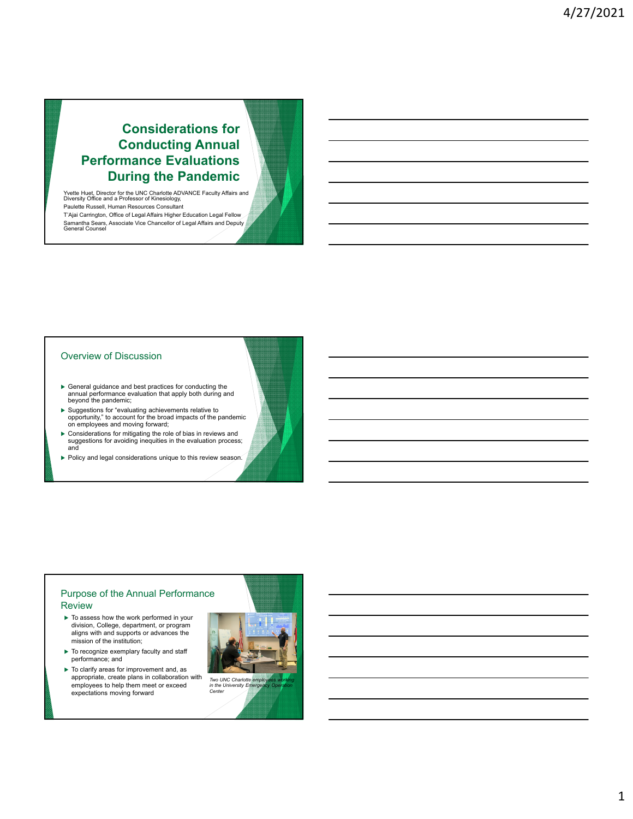# **Considerations for Conducting Annual Performance Evaluations During the Pandemic**

Yvette Huet, Director for the UNC Charlotte ADVANCE Faculty Affairs and Diversity Office and a Professor of Kinesiology, Paulette Russell, Human Resources Consultant T'Ajai Carrington, Office of Legal Affairs Higher Education Legal Fellow Samantha Sears, Associate Vice Chancellor of Legal Affairs and Deputy General Counsel

#### Overview of Discussion

- General guidance and best practices for conducting the annual performance evaluation that apply both during and beyond the pandemic;
- Suggestions for "evaluating achievements relative to opportunity," to account for the broad impacts of the pandemic on employees and moving forward;
- Considerations for mitigating the role of bias in reviews and suggestions for avoiding inequities in the evaluation process; and
- Policy and legal considerations unique to this review season.

# Purpose of the Annual Performance Review

- $\blacktriangleright$  To assess how the work performed in your division, College, department, or program aligns with and supports or advances the mission of the institution;
- $\blacktriangleright$  To recognize exemplary faculty and staff performance; and
- $\blacktriangleright$  To clarify areas for improvement and, as appropriate, create plans in collaboration with employees to help them meet or exceed expectations moving forward



*Center*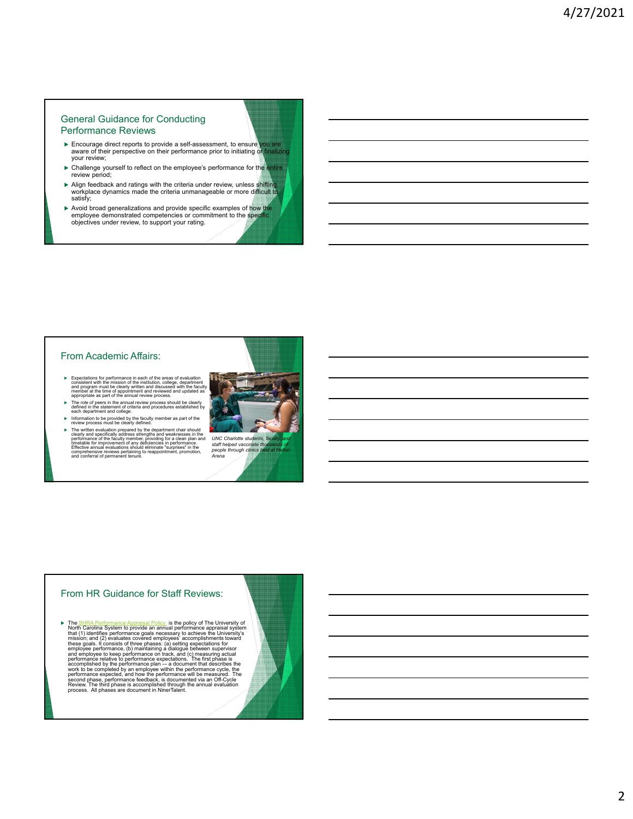## General Guidance for Conducting Performance Reviews

- ► Encourage direct reports to provide a self-assessment, to ensure you are a aware of their perspective on their performance prior to initiating or finalizing your review;
- ▶ Challenge yourself to reflect on the employee's performance for the entire review period;
- Align feedback and ratings with the criteria under review, unless shifting workplace dynamics made the criteria unmanageable or more difficult to satisfy;
- Avoid broad generalizations and provide specific examples of how the employee demonstrated competencies or commitment to the specific objectives under review, to support your rating.

## From Academic Affairs:

- Expectations for performance in each of the areas of evaluation<br>consistent with the mission of the institution, college, department<br>and program must be clearly written and discussed with the faculty<br>member at the time of
- The role of peers in the annual review process should be clearly defined in the statement of criteria and procedures established by each department and college.
- Information to be provided by the faculty member as part of the review process must be clearly defined.
- Fine written evaluation prepared by the department chair should<br>not clearly and specifically address strengths and weaknesses in the<br>preformance of the faculty member, providing for a clean plan and<br>timedable for improvem



#### From HR Guidance for Staff Reviews:

Fine SHRA Performance Appraisal Policy is the policy of The University of The The Theorem that (1) identifies performance appraisal system that (1) dentifies performance goals necessary to achieve the University's these g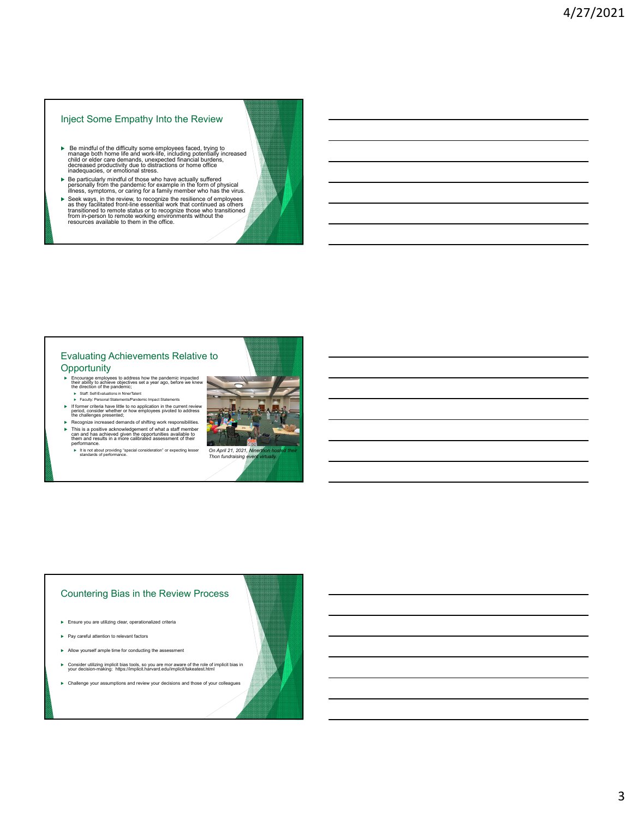# Inject Some Empathy Into the Review

- Be mindful of the difficulty some employees faced, trying to manage both home life and work-life, including potentially increased child or elder care demands, unexpected financial burdens, decreased productivity due to distractions or home office inadequacies, or emotional stress.
- Be particularly mindful of those who have actually suffered personally from the pandemic for example in the form of physical illness, symptoms, or caring for a family member who has the virus.
- $\blacktriangleright$  Seek ways, in the review, to recognize the resilence of employees as they facilitated front-line essential work that continued as others transitioned to remote status or to recognize those who transitioned from in

#### Evaluating Achievements Relative to **Opportunity**

- ► Encourage employees to address how the pandemic impacted<br>their ability to achieve objectives set a year ago, before we knew<br>the direction of the pandemic;<br>► Sulf: Self-Evaluations in NinerTalent<br>► Faculty: Personal Stat
	-
- If former criteria have little to no application in the current review period, consider whether or how employees pivoted to address the challenges presented;
- ► Recognize increased demands of shifting work responsibilities.<br>
⇒ This is a positive acknowledgement of what a staff member<br>
them and has achieved given the opportunities available to<br>
them and results in a more calibr
- It is not about providing "special consideration" or expecting lesser On April 21, 2021, Ninerthon hosted their<br>standards of performance.



## Countering Bias in the Review Process

- Ensure you are utilizing clear, operationalized criteria
- Pay careful attention to relevant factors
- Allow yourself ample time for conducting the assessment
- Consider utilizing implicit bias tools, so you are mor aware of the role of implicit bias in your decision-making: https://implicit.harvard.edu/implicit/takeatest.html
- Challenge your assumptions and review your decisions and those of your colleagues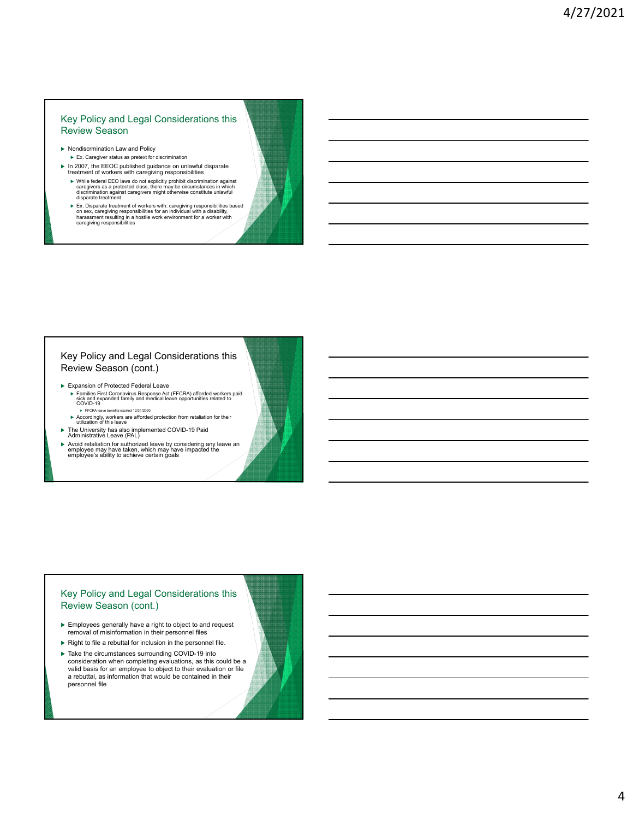# Key Policy and Legal Considerations this Review Season

- ▶ Nondiscrmination Law and Policy
- Ex. Caregiver status as pretext for discrimination In 2007, the EEOC published guidance on unlawful disparate treatment of workers with caregiving responsibilities
- $\blacktriangleright$  While federal EEO laws do not explicitly prohibit discrimination against<br>caregivers as a protected class, there may be circumstances in which<br>discrimination against caregivers might otherwise constitute unlawful<br>d
- $\blacktriangleright$  Ex. Disparate treatment of workers with: caregiving responsibilities based<br>on sex, caregiving responsibilities for an individual with a disability,<br>harassment resulting in a hostile work environment for a worker w

# Key Policy and Legal Considerations this Review Season (cont.)

- Expansion of Protected Federal Leave
	- ► Families First Coronavirus Response Act (FFCRA) afforded workers paid<br>sick and expanded family and medical leave opportunities related to<br>COVID-19 FFCRA leave benefits expired 12/31/2020
	- Accordingly, workers are afforded protection from retaliation for their utilization of this leave
- 
- The University has also implemented COVID-19 Paid Administrative Leave (PAL)
- $\blacktriangleright$  Avoid retaliation for authorized leave by considering any leave an employee may have impacted the employee's ability to achieve certain goals

## Key Policy and Legal Considerations this Review Season (cont.)

- Employees generally have a right to object to and request removal of misinformation in their personnel files
- $\blacktriangleright$  Right to file a rebuttal for inclusion in the personnel file.
- ▶ Take the circumstances surrounding COVID-19 into consideration when completing evaluations, as this could be a valid basis for an employee to object to their evaluation or file a rebuttal, as information that would be contained in their personnel file